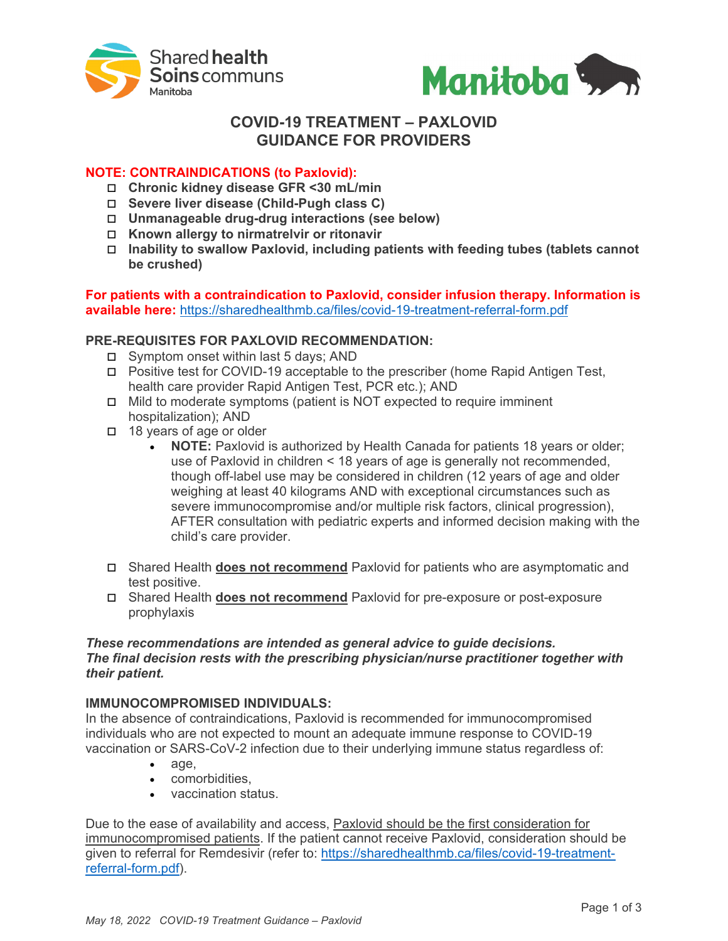



# **COVID-19 TREATMENT – PAXLOVID GUIDANCE FOR PROVIDERS**

# **NOTE: CONTRAINDICATIONS (to Paxlovid):**

- **Chronic kidney disease GFR <30 mL/min**
- **Severe liver disease (Child-Pugh class C)**
- **Unmanageable drug-drug interactions (see below)**
- **Known allergy to nirmatrelvir or ritonavir**
- **Inability to swallow Paxlovid, including patients with feeding tubes (tablets cannot be crushed)**

## **For patients with a contraindication to Paxlovid, consider infusion therapy. Information is available here:** <https://sharedhealthmb.ca/files/covid-19-treatment-referral-form.pdf>

## **PRE-REQUISITES FOR PAXLOVID RECOMMENDATION:**

- □ Symptom onset within last 5 days; AND
- Positive test for COVID-19 acceptable to the prescriber (home Rapid Antigen Test, health care provider Rapid Antigen Test, PCR etc.); AND
- Mild to moderate symptoms (patient is NOT expected to require imminent hospitalization); AND
- □ 18 years of age or older
	- **NOTE:** Paxlovid is authorized by Health Canada for patients 18 years or older; use of Paxlovid in children < 18 years of age is generally not recommended, though off-label use may be considered in children (12 years of age and older weighing at least 40 kilograms AND with exceptional circumstances such as severe immunocompromise and/or multiple risk factors, clinical progression), AFTER consultation with pediatric experts and informed decision making with the child's care provider.
- Shared Health **does not recommend** Paxlovid for patients who are asymptomatic and test positive.
- Shared Health **does not recommend** Paxlovid for pre-exposure or post-exposure prophylaxis

#### *These recommendations are intended as general advice to guide decisions. The final decision rests with the prescribing physician/nurse practitioner together with their patient.*

## **IMMUNOCOMPROMISED INDIVIDUALS:**

In the absence of contraindications, Paxlovid is recommended for immunocompromised individuals who are not expected to mount an adequate immune response to COVID-19 vaccination or SARS-CoV-2 infection due to their underlying immune status regardless of:

- age,
- comorbidities,
- vaccination status.

Due to the ease of availability and access, Paxlovid should be the first consideration for immunocompromised patients. If the patient cannot receive Paxlovid, consideration should be given to referral for Remdesivir (refer to: [https://sharedhealthmb.ca/files/covid-19-treatment](https://sharedhealthmb.ca/files/covid-19-treatment-referral-form.pdf)[referral-form.pdf\)](https://sharedhealthmb.ca/files/covid-19-treatment-referral-form.pdf).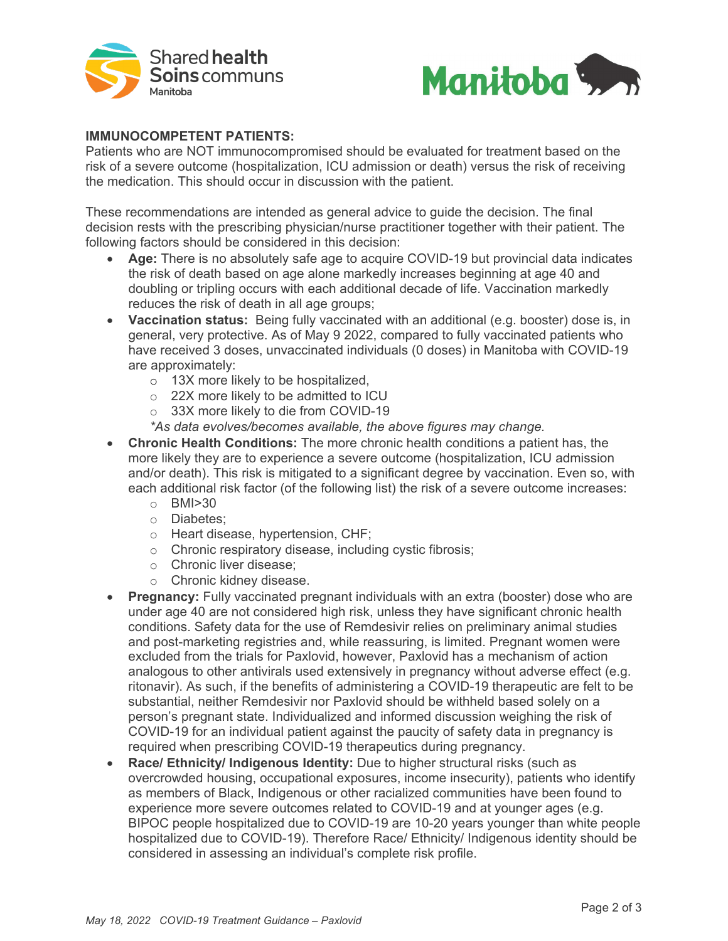



#### **IMMUNOCOMPETENT PATIENTS:**

Patients who are NOT immunocompromised should be evaluated for treatment based on the risk of a severe outcome (hospitalization, ICU admission or death) versus the risk of receiving the medication. This should occur in discussion with the patient.

These recommendations are intended as general advice to guide the decision. The final decision rests with the prescribing physician/nurse practitioner together with their patient. The following factors should be considered in this decision:

- **Age:** There is no absolutely safe age to acquire COVID-19 but provincial data indicates the risk of death based on age alone markedly increases beginning at age 40 and doubling or tripling occurs with each additional decade of life. Vaccination markedly reduces the risk of death in all age groups;
- **Vaccination status:** Being fully vaccinated with an additional (e.g. booster) dose is, in general, very protective. As of May 9 2022, compared to fully vaccinated patients who have received 3 doses, unvaccinated individuals (0 doses) in Manitoba with COVID-19 are approximately:
	- o 13X more likely to be hospitalized,
	- o 22X more likely to be admitted to ICU
	- o 33X more likely to die from COVID-19
	- *\*As data evolves/becomes available, the above figures may change.*
- **Chronic Health Conditions:** The more chronic health conditions a patient has, the more likely they are to experience a severe outcome (hospitalization, ICU admission and/or death). This risk is mitigated to a significant degree by vaccination. Even so, with each additional risk factor (of the following list) the risk of a severe outcome increases:
	- o BMI>30
	- o Diabetes;
	- o Heart disease, hypertension, CHF;
	- o Chronic respiratory disease, including cystic fibrosis;
	- o Chronic liver disease;
	- o Chronic kidney disease.
- **Pregnancy:** Fully vaccinated pregnant individuals with an extra (booster) dose who are under age 40 are not considered high risk, unless they have significant chronic health conditions. Safety data for the use of Remdesivir relies on preliminary animal studies and post-marketing registries and, while reassuring, is limited. Pregnant women were excluded from the trials for Paxlovid, however, Paxlovid has a mechanism of action analogous to other antivirals used extensively in pregnancy without adverse effect (e.g. ritonavir). As such, if the benefits of administering a COVID-19 therapeutic are felt to be substantial, neither Remdesivir nor Paxlovid should be withheld based solely on a person's pregnant state. Individualized and informed discussion weighing the risk of COVID-19 for an individual patient against the paucity of safety data in pregnancy is required when prescribing COVID-19 therapeutics during pregnancy.
- **Race/ Ethnicity/ Indigenous Identity:** Due to higher structural risks (such as overcrowded housing, occupational exposures, income insecurity), patients who identify as members of Black, Indigenous or other racialized communities have been found to experience more severe outcomes related to COVID-19 and at younger ages (e.g. BIPOC people hospitalized due to COVID-19 are 10-20 years younger than white people hospitalized due to COVID-19). Therefore Race/ Ethnicity/ Indigenous identity should be considered in assessing an individual's complete risk profile.